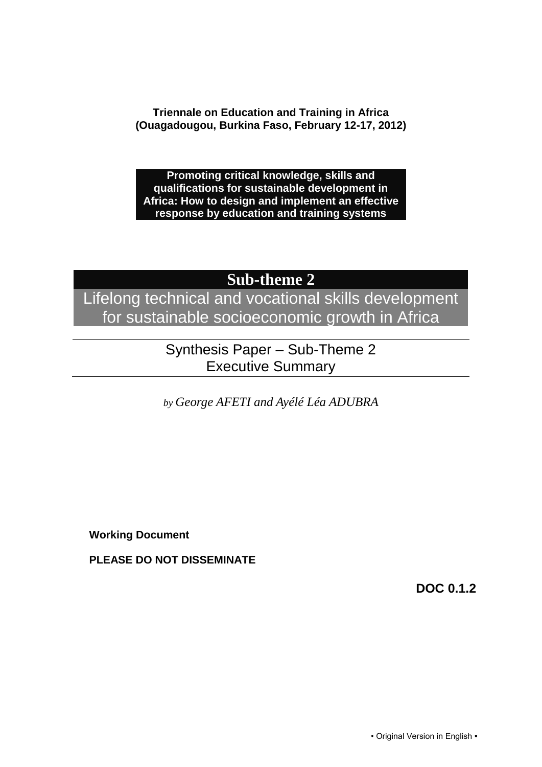**Triennale on Education and Training in Africa (Ouagadougou, Burkina Faso, February 12-17, 2012)**

**Promoting critical knowledge, skills and qualifications for sustainable development in Africa: How to design and implement an effective response by education and training systems**

## **Sub-theme 2**

Lifelong technical and vocational skills development for sustainable socioeconomic growth in Africa

> Synthesis Paper – Sub-Theme 2 Executive Summary

*by George AFETI and Ayélé Léa ADUBRA*

**Working Document**

**PLEASE DO NOT DISSEMINATE**

**DOC 0.1.2**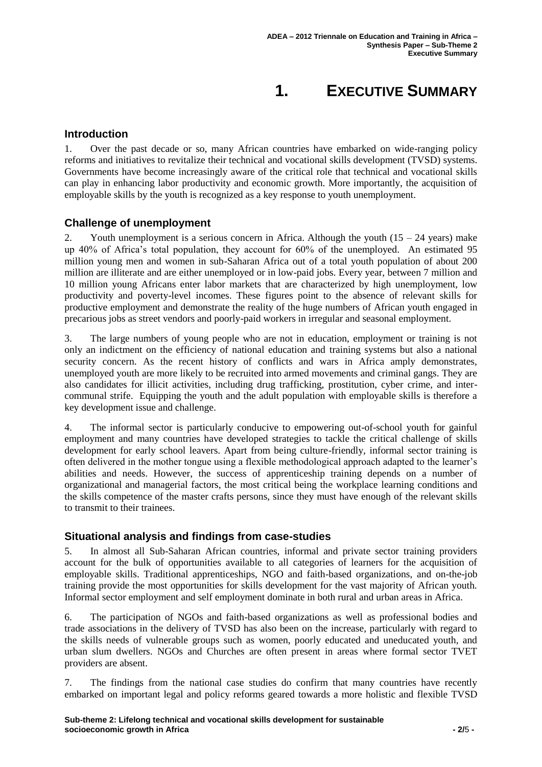# **1. EXECUTIVE SUMMARY**

### **Introduction**

1. Over the past decade or so, many African countries have embarked on wide-ranging policy reforms and initiatives to revitalize their technical and vocational skills development (TVSD) systems. Governments have become increasingly aware of the critical role that technical and vocational skills can play in enhancing labor productivity and economic growth. More importantly, the acquisition of employable skills by the youth is recognized as a key response to youth unemployment.

#### **Challenge of unemployment**

Youth unemployment is a serious concern in Africa. Although the youth  $(15 - 24 \text{ years})$  make up 40% of Africa's total population, they account for 60% of the unemployed. An estimated 95 million young men and women in sub-Saharan Africa out of a total youth population of about 200 million are illiterate and are either unemployed or in low-paid jobs. Every year, between 7 million and 10 million young Africans enter labor markets that are characterized by high unemployment, low productivity and poverty-level incomes. These figures point to the absence of relevant skills for productive employment and demonstrate the reality of the huge numbers of African youth engaged in precarious jobs as street vendors and poorly-paid workers in irregular and seasonal employment.

3. The large numbers of young people who are not in education, employment or training is not only an indictment on the efficiency of national education and training systems but also a national security concern. As the recent history of conflicts and wars in Africa amply demonstrates, unemployed youth are more likely to be recruited into armed movements and criminal gangs. They are also candidates for illicit activities, including drug trafficking, prostitution, cyber crime, and intercommunal strife. Equipping the youth and the adult population with employable skills is therefore a key development issue and challenge.

4. The informal sector is particularly conducive to empowering out-of-school youth for gainful employment and many countries have developed strategies to tackle the critical challenge of skills development for early school leavers. Apart from being culture-friendly, informal sector training is often delivered in the mother tongue using a flexible methodological approach adapted to the learner's abilities and needs. However, the success of apprenticeship training depends on a number of organizational and managerial factors, the most critical being the workplace learning conditions and the skills competence of the master crafts persons, since they must have enough of the relevant skills to transmit to their trainees.

#### **Situational analysis and findings from case-studies**

5. In almost all Sub-Saharan African countries, informal and private sector training providers account for the bulk of opportunities available to all categories of learners for the acquisition of employable skills. Traditional apprenticeships, NGO and faith-based organizations, and on-the-job training provide the most opportunities for skills development for the vast majority of African youth. Informal sector employment and self employment dominate in both rural and urban areas in Africa.

6. The participation of NGOs and faith-based organizations as well as professional bodies and trade associations in the delivery of TVSD has also been on the increase, particularly with regard to the skills needs of vulnerable groups such as women, poorly educated and uneducated youth, and urban slum dwellers. NGOs and Churches are often present in areas where formal sector TVET providers are absent.

7. The findings from the national case studies do confirm that many countries have recently embarked on important legal and policy reforms geared towards a more holistic and flexible TVSD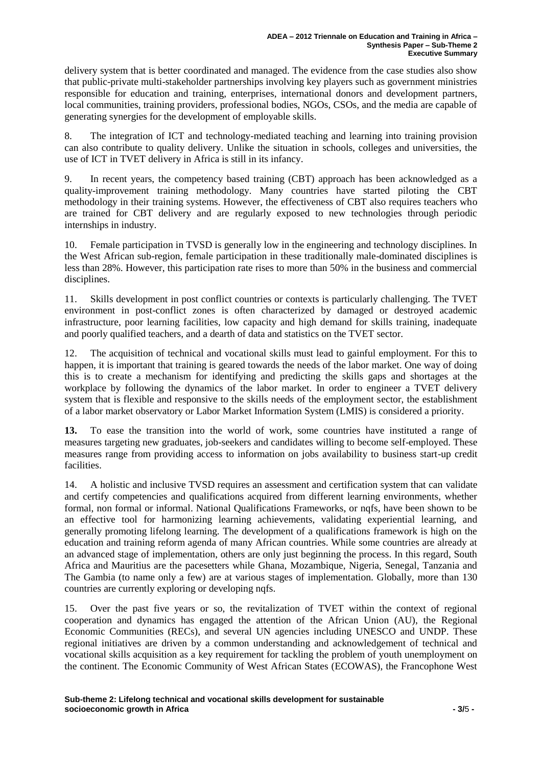delivery system that is better coordinated and managed. The evidence from the case studies also show that public-private multi-stakeholder partnerships involving key players such as government ministries responsible for education and training, enterprises, international donors and development partners, local communities, training providers, professional bodies, NGOs, CSOs, and the media are capable of generating synergies for the development of employable skills.

8. The integration of ICT and technology-mediated teaching and learning into training provision can also contribute to quality delivery. Unlike the situation in schools, colleges and universities, the use of ICT in TVET delivery in Africa is still in its infancy.

9. In recent years, the competency based training (CBT) approach has been acknowledged as a quality-improvement training methodology. Many countries have started piloting the CBT methodology in their training systems. However, the effectiveness of CBT also requires teachers who are trained for CBT delivery and are regularly exposed to new technologies through periodic internships in industry.

10. Female participation in TVSD is generally low in the engineering and technology disciplines. In the West African sub-region, female participation in these traditionally male-dominated disciplines is less than 28%. However, this participation rate rises to more than 50% in the business and commercial disciplines.

11. Skills development in post conflict countries or contexts is particularly challenging. The TVET environment in post-conflict zones is often characterized by damaged or destroyed academic infrastructure, poor learning facilities, low capacity and high demand for skills training, inadequate and poorly qualified teachers, and a dearth of data and statistics on the TVET sector.

12. The acquisition of technical and vocational skills must lead to gainful employment. For this to happen, it is important that training is geared towards the needs of the labor market. One way of doing this is to create a mechanism for identifying and predicting the skills gaps and shortages at the workplace by following the dynamics of the labor market. In order to engineer a TVET delivery system that is flexible and responsive to the skills needs of the employment sector, the establishment of a labor market observatory or Labor Market Information System (LMIS) is considered a priority.

**13.** To ease the transition into the world of work, some countries have instituted a range of measures targeting new graduates, job-seekers and candidates willing to become self-employed. These measures range from providing access to information on jobs availability to business start-up credit facilities.

14. A holistic and inclusive TVSD requires an assessment and certification system that can validate and certify competencies and qualifications acquired from different learning environments, whether formal, non formal or informal. National Qualifications Frameworks, or nqfs, have been shown to be an effective tool for harmonizing learning achievements, validating experiential learning, and generally promoting lifelong learning. The development of a qualifications framework is high on the education and training reform agenda of many African countries. While some countries are already at an advanced stage of implementation, others are only just beginning the process. In this regard, South Africa and Mauritius are the pacesetters while Ghana, Mozambique, Nigeria, Senegal, Tanzania and The Gambia (to name only a few) are at various stages of implementation. Globally, more than 130 countries are currently exploring or developing nqfs.

15. Over the past five years or so, the revitalization of TVET within the context of regional cooperation and dynamics has engaged the attention of the African Union (AU), the Regional Economic Communities (RECs), and several UN agencies including UNESCO and UNDP. These regional initiatives are driven by a common understanding and acknowledgement of technical and vocational skills acquisition as a key requirement for tackling the problem of youth unemployment on the continent. The Economic Community of West African States (ECOWAS), the Francophone West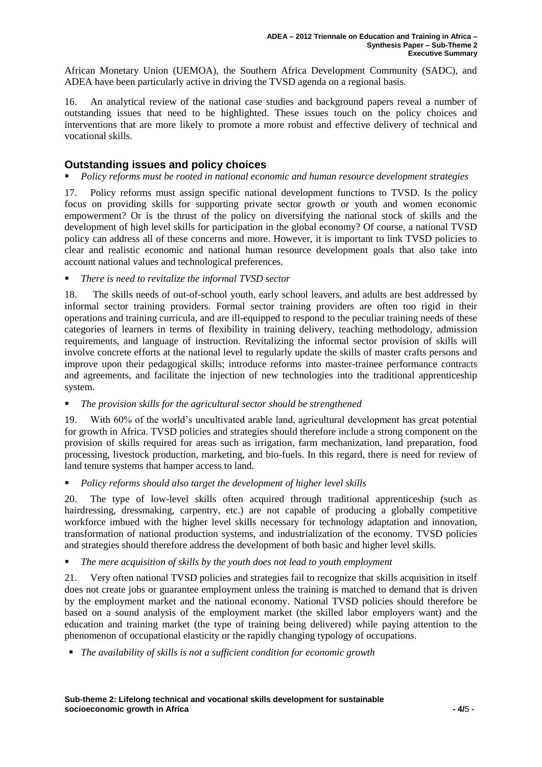African Monetary Union (UEMOA), the Southern Africa Development Community (SADC), and ADEA have been particularly active in driving the TVSD agenda on a regional basis.

16. An analytical review of the national case studies and background papers reveal a number of outstanding issues that need to be highlighted. These issues touch on the policy choices and interventions that are more likely to promote a more robust and effective delivery of technical and vocational skills.

## **Outstanding issues and policy choices**

#### *Policy reforms must be rooted in national economic and human resource development strategies*

17. Policy reforms must assign specific national development functions to TVSD. Is the policy focus on providing skills for supporting private sector growth or youth and women economic empowerment? Or is the thrust of the policy on diversifying the national stock of skills and the development of high level skills for participation in the global economy? Of course, a national TVSD policy can address all of these concerns and more. However, it is important to link TVSD policies to clear and realistic economic and national human resource development goals that also take into account national values and technological preferences.

*There is need to revitalize the informal TVSD sector*

18. The skills needs of out-of-school youth, early school leavers, and adults are best addressed by informal sector training providers. Formal sector training providers are often too rigid in their operations and training curricula, and are ill-equipped to respond to the peculiar training needs of these categories of learners in terms of flexibility in training delivery, teaching methodology, admission requirements, and language of instruction. Revitalizing the informal sector provision of skills will involve concrete efforts at the national level to regularly update the skills of master crafts persons and improve upon their pedagogical skills; introduce reforms into master-trainee performance contracts and agreements, and facilitate the injection of new technologies into the traditional apprenticeship system.

#### *The provision skills for the agricultural sector should be strengthened*

19. With 60% of the world's uncultivated arable land, agricultural development has great potential for growth in Africa. TVSD policies and strategies should therefore include a strong component on the provision of skills required for areas such as irrigation, farm mechanization, land preparation, food processing, livestock production, marketing, and bio-fuels. In this regard, there is need for review of land tenure systems that hamper access to land.

*Policy reforms should also target the development of higher level skills*

20. The type of low-level skills often acquired through traditional apprenticeship (such as hairdressing, dressmaking, carpentry, etc.) are not capable of producing a globally competitive workforce imbued with the higher level skills necessary for technology adaptation and innovation, transformation of national production systems, and industrialization of the economy. TVSD policies and strategies should therefore address the development of both basic and higher level skills.

*The mere acquisition of skills by the youth does not lead to youth employment*

21. Very often national TVSD policies and strategies fail to recognize that skills acquisition in itself does not create jobs or guarantee employment unless the training is matched to demand that is driven by the employment market and the national economy. National TVSD policies should therefore be based on a sound analysis of the employment market (the skilled labor employers want) and the education and training market (the type of training being delivered) while paying attention to the phenomenon of occupational elasticity or the rapidly changing typology of occupations.

*The availability of skills is not a sufficient condition for economic growth*